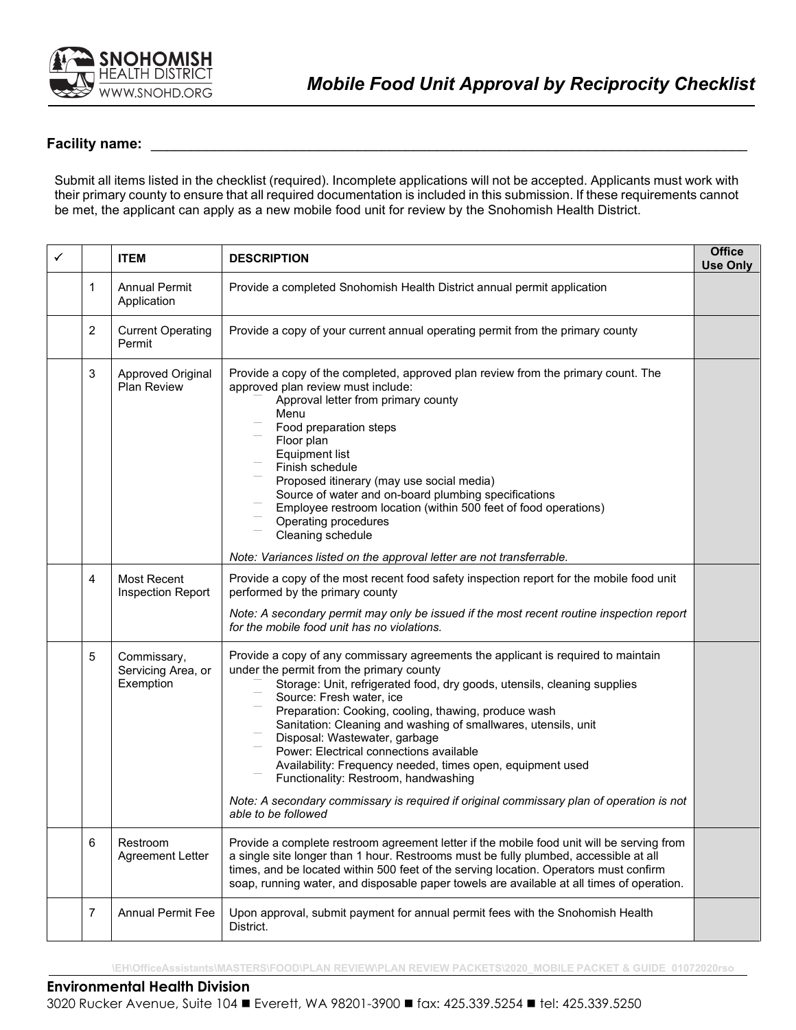

## **Facility name:**

Submit all items listed in the checklist (required). Incomplete applications will not be accepted. Applicants must work with their primary county to ensure that all required documentation is included in this submission. If these requirements cannot be met, the applicant can apply as a new mobile food unit for review by the Snohomish Health District.

| ✓ |                | <b>ITEM</b>                                    | <b>DESCRIPTION</b>                                                                                                                                                                                                                                                                                                                                                                                                                                                                                                                                                                                                                                                   | <b>Office</b><br><b>Use Only</b> |
|---|----------------|------------------------------------------------|----------------------------------------------------------------------------------------------------------------------------------------------------------------------------------------------------------------------------------------------------------------------------------------------------------------------------------------------------------------------------------------------------------------------------------------------------------------------------------------------------------------------------------------------------------------------------------------------------------------------------------------------------------------------|----------------------------------|
|   | $\mathbf{1}$   | <b>Annual Permit</b><br>Application            | Provide a completed Snohomish Health District annual permit application                                                                                                                                                                                                                                                                                                                                                                                                                                                                                                                                                                                              |                                  |
|   | $\overline{2}$ | <b>Current Operating</b><br>Permit             | Provide a copy of your current annual operating permit from the primary county                                                                                                                                                                                                                                                                                                                                                                                                                                                                                                                                                                                       |                                  |
|   | $\mathbf{3}$   | Approved Original<br>Plan Review               | Provide a copy of the completed, approved plan review from the primary count. The<br>approved plan review must include:<br>Approval letter from primary county<br>Menu<br>Food preparation steps<br>Floor plan<br><b>Equipment list</b><br>Finish schedule<br>Proposed itinerary (may use social media)<br>Source of water and on-board plumbing specifications<br>Employee restroom location (within 500 feet of food operations)<br>Operating procedures<br>Cleaning schedule                                                                                                                                                                                      |                                  |
|   |                |                                                | Note: Variances listed on the approval letter are not transferrable.                                                                                                                                                                                                                                                                                                                                                                                                                                                                                                                                                                                                 |                                  |
|   | 4              | Most Recent<br>Inspection Report               | Provide a copy of the most recent food safety inspection report for the mobile food unit<br>performed by the primary county<br>Note: A secondary permit may only be issued if the most recent routine inspection report<br>for the mobile food unit has no violations.                                                                                                                                                                                                                                                                                                                                                                                               |                                  |
|   | 5              | Commissary,<br>Servicing Area, or<br>Exemption | Provide a copy of any commissary agreements the applicant is required to maintain<br>under the permit from the primary county<br>Storage: Unit, refrigerated food, dry goods, utensils, cleaning supplies<br>Source: Fresh water, ice<br>Preparation: Cooking, cooling, thawing, produce wash<br>Sanitation: Cleaning and washing of smallwares, utensils, unit<br>Disposal: Wastewater, garbage<br>Power: Electrical connections available<br>Availability: Frequency needed, times open, equipment used<br>Functionality: Restroom, handwashing<br>Note: A secondary commissary is required if original commissary plan of operation is not<br>able to be followed |                                  |
|   | 6              | Restroom<br><b>Agreement Letter</b>            | Provide a complete restroom agreement letter if the mobile food unit will be serving from<br>a single site longer than 1 hour. Restrooms must be fully plumbed, accessible at all<br>times, and be located within 500 feet of the serving location. Operators must confirm<br>soap, running water, and disposable paper towels are available at all times of operation.                                                                                                                                                                                                                                                                                              |                                  |
|   | $\overline{7}$ | <b>Annual Permit Fee</b>                       | Upon approval, submit payment for annual permit fees with the Snohomish Health<br>District.                                                                                                                                                                                                                                                                                                                                                                                                                                                                                                                                                                          |                                  |

**\EH\OfficeAssistants\MASTERS\FOOD\PLAN REVIEW\PLAN REVIEW PACKETS\2020\_MOBILE PACKET & GUIDE 01072020rso** 

## **Environmental Health Division**

3020 Rucker Avenue, Suite 104 ■ Everett, WA 98201-3900 ■ fax: 425.339.5254 ■ tel: 425.339.5250